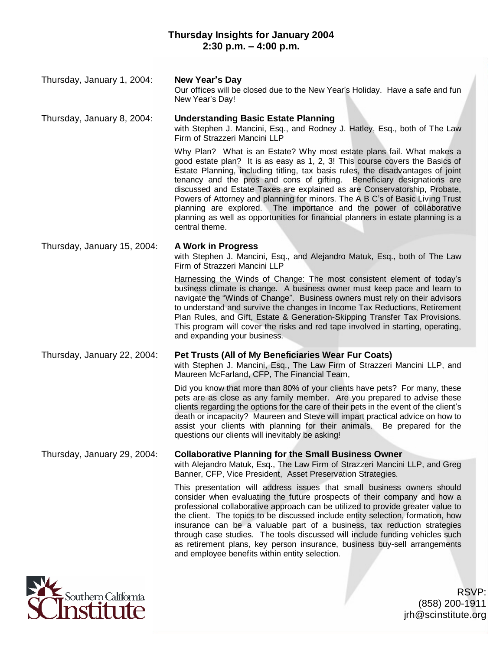| Thursday, January 1, 2004:  | New Year's Day<br>Our offices will be closed due to the New Year's Holiday. Have a safe and fun<br>New Year's Day!                                                                                                                                                                                                                                                                                                                                                                                                                                                                                                                                             |
|-----------------------------|----------------------------------------------------------------------------------------------------------------------------------------------------------------------------------------------------------------------------------------------------------------------------------------------------------------------------------------------------------------------------------------------------------------------------------------------------------------------------------------------------------------------------------------------------------------------------------------------------------------------------------------------------------------|
| Thursday, January 8, 2004:  | <b>Understanding Basic Estate Planning</b><br>with Stephen J. Mancini, Esq., and Rodney J. Hatley, Esq., both of The Law<br>Firm of Strazzeri Mancini LLP                                                                                                                                                                                                                                                                                                                                                                                                                                                                                                      |
|                             | Why Plan? What is an Estate? Why most estate plans fail. What makes a<br>good estate plan? It is as easy as 1, 2, 3! This course covers the Basics of<br>Estate Planning, including titling, tax basis rules, the disadvantages of joint<br>tenancy and the pros and cons of gifting. Beneficiary designations are<br>discussed and Estate Taxes are explained as are Conservatorship, Probate,<br>Powers of Attorney and planning for minors. The A B C's of Basic Living Trust<br>planning are explored. The importance and the power of collaborative<br>planning as well as opportunities for financial planners in estate planning is a<br>central theme. |
| Thursday, January 15, 2004: | A Work in Progress<br>with Stephen J. Mancini, Esq., and Alejandro Matuk, Esq., both of The Law<br>Firm of Strazzeri Mancini LLP                                                                                                                                                                                                                                                                                                                                                                                                                                                                                                                               |
|                             | Harnessing the Winds of Change: The most consistent element of today's<br>business climate is change. A business owner must keep pace and learn to<br>navigate the "Winds of Change". Business owners must rely on their advisors<br>to understand and survive the changes in Income Tax Reductions, Retirement<br>Plan Rules, and Gift, Estate & Generation-Skipping Transfer Tax Provisions.<br>This program will cover the risks and red tape involved in starting, operating,<br>and expanding your business.                                                                                                                                              |
| Thursday, January 22, 2004: | Pet Trusts (All of My Beneficiaries Wear Fur Coats)<br>with Stephen J. Mancini, Esq., The Law Firm of Strazzeri Mancini LLP, and<br>Maureen McFarland, CFP, The Financial Team,                                                                                                                                                                                                                                                                                                                                                                                                                                                                                |
|                             | Did you know that more than 80% of your clients have pets? For many, these<br>pets are as close as any family member. Are you prepared to advise these<br>clients regarding the options for the care of their pets in the event of the client's<br>death or incapacity? Maureen and Steve will impart practical advice on how to<br>assist your clients with planning for their animals. Be prepared for the<br>questions our clients will inevitably be asking!                                                                                                                                                                                               |
| Thursday, January 29, 2004: | <b>Collaborative Planning for the Small Business Owner</b><br>with Alejandro Matuk, Esq., The Law Firm of Strazzeri Mancini LLP, and Greg<br>Banner, CFP, Vice President, Asset Preservation Strategies.                                                                                                                                                                                                                                                                                                                                                                                                                                                       |
|                             | This presentation will address issues that small business owners should<br>consider when evaluating the future prospects of their company and how a<br>professional collaborative approach can be utilized to provide greater value to<br>the client. The topics to be discussed include entity selection, formation, how<br>insurance can be a valuable part of a business, tax reduction strategies<br>through case studies. The tools discussed will include funding vehicles such<br>as retirement plans, key person insurance, business buy-sell arrangements<br>and employee benefits within entity selection.                                           |



RSVP: (858) 200-1911 jrh@scinstitute.org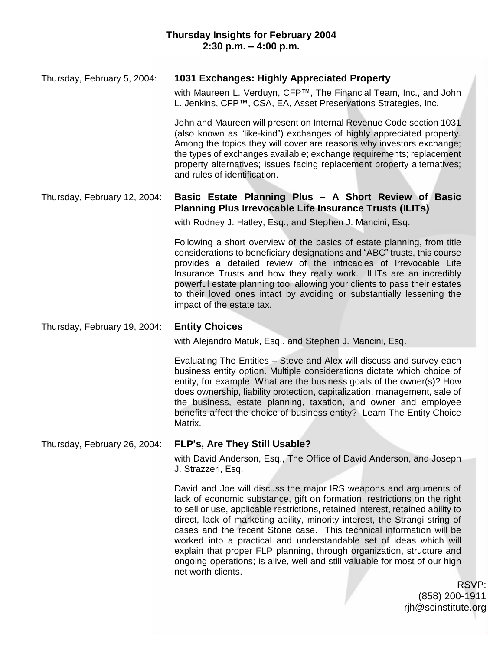## Thursday, February 5, 2004: **1031 Exchanges: Highly Appreciated Property**

with Maureen L. Verduyn, CFP™, The Financial Team, Inc., and John L. Jenkins, CFP™, CSA, EA, Asset Preservations Strategies, Inc.

John and Maureen will present on Internal Revenue Code section 1031 (also known as "like-kind") exchanges of highly appreciated property. Among the topics they will cover are reasons why investors exchange; the types of exchanges available; exchange requirements; replacement property alternatives; issues facing replacement property alternatives; and rules of identification.

## Thursday, February 12, 2004: **Basic Estate Planning Plus – A Short Review of Basic Planning Plus Irrevocable Life Insurance Trusts (ILITs)**

with Rodney J. Hatley, Esq., and Stephen J. Mancini, Esq.

Following a short overview of the basics of estate planning, from title considerations to beneficiary designations and "ABC" trusts, this course provides a detailed review of the intricacies of Irrevocable Life Insurance Trusts and how they really work. ILITs are an incredibly powerful estate planning tool allowing your clients to pass their estates to their loved ones intact by avoiding or substantially lessening the impact of the estate tax.

#### Thursday, February 19, 2004: **Entity Choices**

with Alejandro Matuk, Esq., and Stephen J. Mancini, Esq.

Evaluating The Entities - Steve and Alex will discuss and survey each business entity option. Multiple considerations dictate which choice of entity, for example: What are the business goals of the owner(s)? How does ownership, liability protection, capitalization, management, sale of the business, estate planning, taxation, and owner and employee benefits affect the choice of business entity? Learn The Entity Choice Matrix.

### Thursday, February 26, 2004: **FLP's, Are They Still Usable?**

with David Anderson, Esq., The Office of David Anderson, and Joseph J. Strazzeri, Esq.

David and Joe will discuss the major IRS weapons and arguments of lack of economic substance, gift on formation, restrictions on the right to sell or use, applicable restrictions, retained interest, retained ability to direct, lack of marketing ability, minority interest, the Strangi string of cases and the recent Stone case. This technical information will be worked into a practical and understandable set of ideas which will explain that proper FLP planning, through organization, structure and ongoing operations; is alive, well and still valuable for most of our high net worth clients.

> RSVP: (858) 200-1911 rjh@scinstitute.org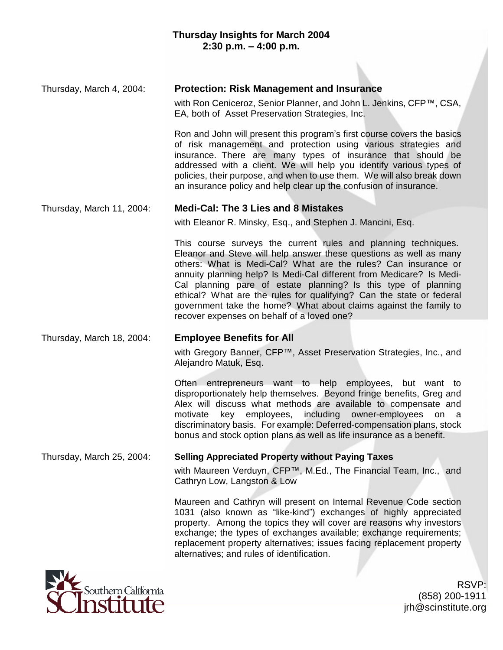#### Thursday, March 4, 2004: **Protection: Risk Management and Insurance**

with Ron Ceniceroz, Senior Planner, and John L. Jenkins, CFP™, CSA, EA, both of Asset Preservation Strategies, Inc.

Ron and John will present this program's first course covers the basics of risk management and protection using various strategies and insurance. There are many types of insurance that should be addressed with a client. We will help you identify various types of policies, their purpose, and when to use them. We will also break down an insurance policy and help clear up the confusion of insurance.

#### Thursday, March 11, 2004: **Medi-Cal: The 3 Lies and 8 Mistakes**

with Eleanor R. Minsky, Esq., and Stephen J. Mancini, Esq.

This course surveys the current rules and planning techniques. Eleanor and Steve will help answer these questions as well as many others: What is Medi-Cal? What are the rules? Can insurance or annuity planning help? Is Medi-Cal different from Medicare? Is Medi-Cal planning pare of estate planning? Is this type of planning ethical? What are the rules for qualifying? Can the state or federal government take the home? What about claims against the family to recover expenses on behalf of a loved one?

# Thursday, March 18, 2004: **Employee Benefits for All**

with Gregory Banner, CFP™, Asset Preservation Strategies, Inc., and Alejandro Matuk, Esq.

Often entrepreneurs want to help employees, but want to disproportionately help themselves. Beyond fringe benefits, Greg and Alex will discuss what methods are available to compensate and motivate key employees, including owner-employees on a discriminatory basis. For example: Deferred-compensation plans, stock bonus and stock option plans as well as life insurance as a benefit.

# Thursday, March 25, 2004: **Selling Appreciated Property without Paying Taxes**

with Maureen Verduyn, CFP™, M.Ed., The Financial Team, Inc., and Cathryn Low, Langston & Low

Maureen and Cathryn will present on Internal Revenue Code section 1031 (also known as "like-kind") exchanges of highly appreciated property. Among the topics they will cover are reasons why investors exchange; the types of exchanges available; exchange requirements; replacement property alternatives; issues facing replacement property alternatives; and rules of identification.



RSVP: (858) 200-1911 jrh@scinstitute.org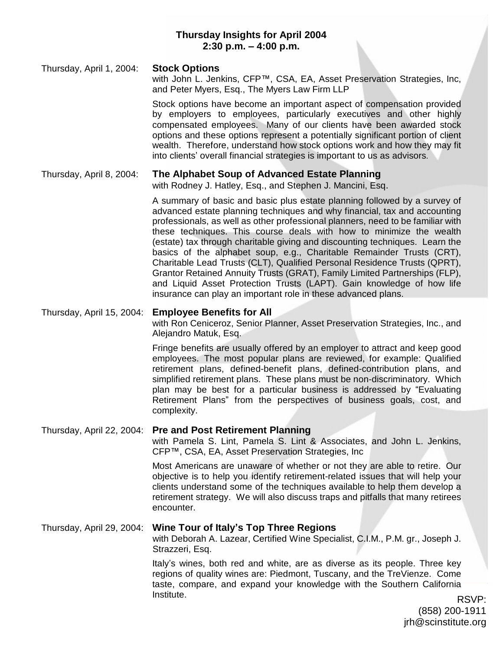## **Thursday Insights for April 2004 2:30 p.m. – 4:00 p.m.**

Thursday, April 1, 2004: **Stock Options** with John L. Jenkins, CFP™, CSA, EA, Asset Preservation Strategies, Inc, and Peter Myers, Esq., The Myers Law Firm LLP

> Stock options have become an important aspect of compensation provided by employers to employees, particularly executives and other highly compensated employees. Many of our clients have been awarded stock options and these options represent a potentially significant portion of client wealth. Therefore, understand how stock options work and how they may fit into clients' overall financial strategies is important to us as advisors.

### Thursday, April 8, 2004: **The Alphabet Soup of Advanced Estate Planning**

with Rodney J. Hatley, Esq., and Stephen J. Mancini, Esq.

A summary of basic and basic plus estate planning followed by a survey of advanced estate planning techniques and why financial, tax and accounting professionals, as well as other professional planners, need to be familiar with these techniques. This course deals with how to minimize the wealth (estate) tax through charitable giving and discounting techniques. Learn the basics of the alphabet soup, e.g., Charitable Remainder Trusts (CRT), Charitable Lead Trusts (CLT), Qualified Personal Residence Trusts (QPRT), Grantor Retained Annuity Trusts (GRAT), Family Limited Partnerships (FLP), and Liquid Asset Protection Trusts (LAPT). Gain knowledge of how life insurance can play an important role in these advanced plans.

#### Thursday, April 15, 2004: **Employee Benefits for All**

with Ron Ceniceroz, Senior Planner, Asset Preservation Strategies, Inc., and Alejandro Matuk, Esq.

Fringe benefits are usually offered by an employer to attract and keep good employees. The most popular plans are reviewed, for example: Qualified retirement plans, defined-benefit plans, defined-contribution plans, and simplified retirement plans. These plans must be non-discriminatory. Which plan may be best for a particular business is addressed by "Evaluating Retirement Plans" from the perspectives of business goals, cost, and complexity.

#### Thursday, April 22, 2004: **Pre and Post Retirement Planning**

with Pamela S. Lint, Pamela S. Lint & Associates, and John L. Jenkins, CFP™, CSA, EA, Asset Preservation Strategies, Inc

Most Americans are unaware of whether or not they are able to retire. Our objective is to help you identify retirement-related issues that will help your clients understand some of the techniques available to help them develop a retirement strategy. We will also discuss traps and pitfalls that many retirees encounter.

#### Thursday, April 29, 2004: **Wine Tour of Italy's Top Three Regions**

with Deborah A. Lazear, Certified Wine Specialist, C.I.M., P.M. gr., Joseph J. Strazzeri, Esq.

Italy's wines, both red and white, are as diverse as its people. Three key regions of quality wines are: Piedmont, Tuscany, and the TreVienze. Come taste, compare, and expand your knowledge with the Southern California Institute. RSVP: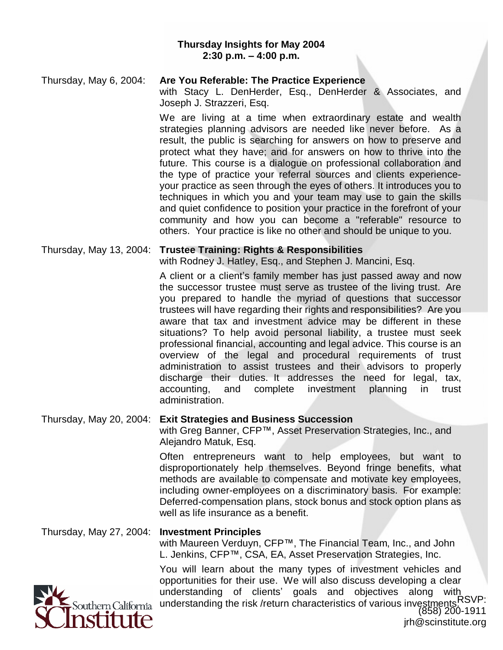#### **Thursday Insights for May 2004 2:30 p.m. – 4:00 p.m.**

| Thursday, May 6, 2004: | Are You Referable: The Practice Experience<br>with Stacy L. DenHerder, Esq., DenHerder & Associates, and<br>Joseph J. Strazzeri, Esq.                                                                                                                                                                                                                                                                                  |
|------------------------|------------------------------------------------------------------------------------------------------------------------------------------------------------------------------------------------------------------------------------------------------------------------------------------------------------------------------------------------------------------------------------------------------------------------|
|                        | We are living at a time when extraordinary estate and wealth<br>strategies planning advisors are needed like never before. As a<br>result, the public is searching for answers on how to preserve and<br>protect what they have; and for answers on how to thrive into the<br>future. This course is a dialogue on professional collaboration and<br>the tupe of proctice your referrel courses and cliente experience |

the type of practice your referral sources and clients experienceyour practice as seen through the eyes of others. It introduces you to techniques in which you and your team may use to gain the skills and quiet confidence to position your practice in the forefront of your community and how you can become a "referable" resource to others. Your practice is like no other and should be unique to you.

#### Thursday, May 13, 2004: **Trustee Training: Rights & Responsibilities**

with Rodney J. Hatley, Esq., and Stephen J. Mancini, Esq.

A client or a client's family member has just passed away and now the successor trustee must serve as trustee of the living trust. Are you prepared to handle the myriad of questions that successor trustees will have regarding their rights and responsibilities? Are you aware that tax and investment advice may be different in these situations? To help avoid personal liability, a trustee must seek professional financial, accounting and legal advice. This course is an overview of the legal and procedural requirements of trust administration to assist trustees and their advisors to properly discharge their duties. It addresses the need for legal, tax, accounting, and complete investment planning in trust administration.

### Thursday, May 20, 2004: **Exit Strategies and Business Succession**

with Greg Banner, CFP™, Asset Preservation Strategies, Inc., and Alejandro Matuk, Esq.

Often entrepreneurs want to help employees, but want to disproportionately help themselves. Beyond fringe benefits, what methods are available to compensate and motivate key employees, including owner-employees on a discriminatory basis. For example: Deferred-compensation plans, stock bonus and stock option plans as well as life insurance as a benefit.

### Thursday, May 27, 2004: **Investment Principles**

with Maureen Verduyn, CFP™, The Financial Team, Inc., and John L. Jenkins, CFP™, CSA, EA, Asset Preservation Strategies, Inc.

You will learn about the many types of investment vehicles and opportunities for their use. We will also discuss developing a clear understanding of clients' goals and objectives along with understanding the risk /return characteristics of various investments.RSVP: (858) 200-1911

jrh@scinstitute.org

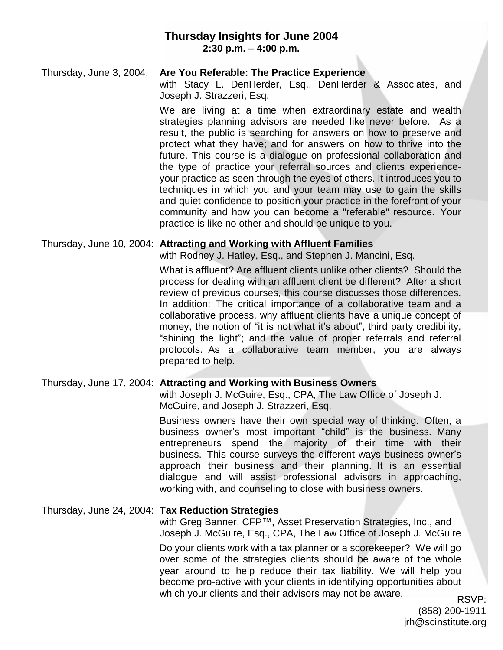# **Thursday Insights for June 2004 2:30 p.m. – 4:00 p.m.**

### Thursday, June 3, 2004: **Are You Referable: The Practice Experience**

with Stacy L. DenHerder, Esq., DenHerder & Associates, and Joseph J. Strazzeri, Esq.

We are living at a time when extraordinary estate and wealth strategies planning advisors are needed like never before. As a result, the public is searching for answers on how to preserve and protect what they have; and for answers on how to thrive into the future. This course is a dialogue on professional collaboration and the type of practice your referral sources and clients experienceyour practice as seen through the eyes of others. It introduces you to techniques in which you and your team may use to gain the skills and quiet confidence to position your practice in the forefront of your community and how you can become a "referable" resource. Your practice is like no other and should be unique to you.

### Thursday, June 10, 2004: **Attracting and Working with Affluent Families**

with Rodney J. Hatley, Esq., and Stephen J. Mancini, Esq.

What is affluent? Are affluent clients unlike other clients? Should the process for dealing with an affluent client be different? After a short review of previous courses, this course discusses those differences. In addition: The critical importance of a collaborative team and a collaborative process, why affluent clients have a unique concept of money, the notion of "it is not what it's about", third party credibility, "shining the light"; and the value of proper referrals and referral protocols. As a collaborative team member, you are always prepared to help.

### Thursday, June 17, 2004: **Attracting and Working with Business Owners**

with Joseph J. McGuire, Esq., CPA, The Law Office of Joseph J. McGuire, and Joseph J. Strazzeri, Esq.

Business owners have their own special way of thinking. Often, a business owner's most important "child" is the business. Many entrepreneurs spend the majority of their time with their business. This course surveys the different ways business owner's approach their business and their planning. It is an essential dialogue and will assist professional advisors in approaching, working with, and counseling to close with business owners.

### Thursday, June 24, 2004: **Tax Reduction Strategies**

with Greg Banner, CFP™, Asset Preservation Strategies, Inc., and Joseph J. McGuire, Esq., CPA, The Law Office of Joseph J. McGuire Do your clients work with a tax planner or a scorekeeper? We will go over some of the strategies clients should be aware of the whole year around to help reduce their tax liability. We will help you

become pro-active with your clients in identifying opportunities about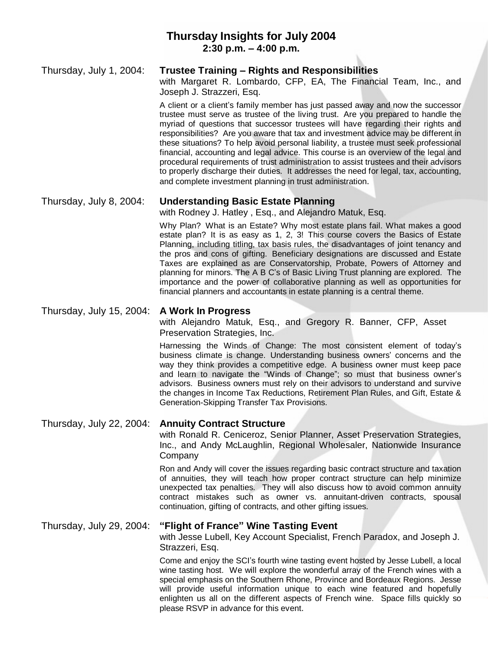# **Thursday Insights for July 2004 2:30 p.m. – 4:00 p.m.**

#### Thursday, July 1, 2004: **Trustee Training – Rights and Responsibilities**

with Margaret R. Lombardo, CFP, EA, The Financial Team, Inc., and Joseph J. Strazzeri, Esq.

A client or a client's family member has just passed away and now the successor trustee must serve as trustee of the living trust. Are you prepared to handle the myriad of questions that successor trustees will have regarding their rights and responsibilities? Are you aware that tax and investment advice may be different in these situations? To help avoid personal liability, a trustee must seek professional financial, accounting and legal advice. This course is an overview of the legal and procedural requirements of trust administration to assist trustees and their advisors to properly discharge their duties. It addresses the need for legal, tax, accounting, and complete investment planning in trust administration.

### Thursday, July 8, 2004: **Understanding Basic Estate Planning**

with Rodney J. Hatley , Esq., and Alejandro Matuk, Esq.

Why Plan? What is an Estate? Why most estate plans fail. What makes a good estate plan? It is as easy as 1, 2, 3! This course covers the Basics of Estate Planning, including titling, tax basis rules, the disadvantages of joint tenancy and the pros and cons of gifting. Beneficiary designations are discussed and Estate Taxes are explained as are Conservatorship, Probate, Powers of Attorney and planning for minors. The A B C's of Basic Living Trust planning are explored. The importance and the power of collaborative planning as well as opportunities for financial planners and accountants in estate planning is a central theme.

### Thursday, July 15, 2004: **A Work In Progress**

with Alejandro Matuk, Esq., and Gregory R. Banner, CFP, Asset Preservation Strategies, Inc.

Harnessing the Winds of Change: The most consistent element of today's business climate is change. Understanding business owners' concerns and the way they think provides a competitive edge. A business owner must keep pace and learn to navigate the "Winds of Change"; so must that business owner's advisors. Business owners must rely on their advisors to understand and survive the changes in Income Tax Reductions, Retirement Plan Rules, and Gift, Estate & Generation-Skipping Transfer Tax Provisions.

### Thursday, July 22, 2004: **Annuity Contract Structure**

with Ronald R. Ceniceroz, Senior Planner, Asset Preservation Strategies, Inc., and Andy McLaughlin, Regional Wholesaler, Nationwide Insurance Company

Ron and Andy will cover the issues regarding basic contract structure and taxation of annuities, they will teach how proper contract structure can help minimize unexpected tax penalties. They will also discuss how to avoid common annuity contract mistakes such as owner vs. annuitant-driven contracts, spousal continuation, gifting of contracts, and other gifting issues.

# Thursday, July 29, 2004: **"Flight of France" Wine Tasting Event**

with Jesse Lubell, Key Account Specialist, French Paradox, and Joseph J. Strazzeri, Esq.

Come and enjoy the SCI's fourth wine tasting event hosted by Jesse Lubell, a local wine tasting host. We will explore the wonderful array of the French wines with a special emphasis on the Southern Rhone, Province and Bordeaux Regions. Jesse will provide useful information unique to each wine featured and hopefully enlighten us all on the different aspects of French wine. Space fills quickly so please RSVP in advance for this event.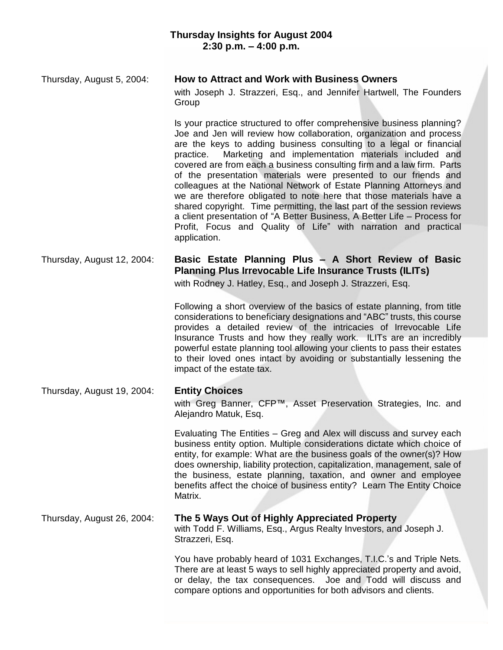## Thursday, August 5, 2004: **How to Attract and Work with Business Owners**

with Joseph J. Strazzeri, Esq., and Jennifer Hartwell, The Founders Group

Is your practice structured to offer comprehensive business planning? Joe and Jen will review how collaboration, organization and process are the keys to adding business consulting to a legal or financial practice. Marketing and implementation materials included and covered are from each a business consulting firm and a law firm. Parts of the presentation materials were presented to our friends and colleagues at the National Network of Estate Planning Attorneys and we are therefore obligated to note here that those materials have a shared copyright. Time permitting, the last part of the session reviews a client presentation of "A Better Business, A Better Life – Process for Profit, Focus and Quality of Life" with narration and practical application.

# Thursday, August 12, 2004: **Basic Estate Planning Plus – A Short Review of Basic Planning Plus Irrevocable Life Insurance Trusts (ILITs)**

with Rodney J. Hatley, Esq., and Joseph J. Strazzeri, Esq.

Following a short overview of the basics of estate planning, from title considerations to beneficiary designations and "ABC" trusts, this course provides a detailed review of the intricacies of Irrevocable Life Insurance Trusts and how they really work. ILITs are an incredibly powerful estate planning tool allowing your clients to pass their estates to their loved ones intact by avoiding or substantially lessening the impact of the estate tax.

#### Thursday, August 19, 2004: **Entity Choices**

with Greg Banner, CFP™, Asset Preservation Strategies, Inc. and Alejandro Matuk, Esq.

Evaluating The Entities – Greg and Alex will discuss and survey each business entity option. Multiple considerations dictate which choice of entity, for example: What are the business goals of the owner(s)? How does ownership, liability protection, capitalization, management, sale of the business, estate planning, taxation, and owner and employee benefits affect the choice of business entity? Learn The Entity Choice Matrix.

### Thursday, August 26, 2004: **The 5 Ways Out of Highly Appreciated Property**

with Todd F. Williams, Esq., Argus Realty Investors, and Joseph J. Strazzeri, Esq.

You have probably heard of 1031 Exchanges, T.I.C.'s and Triple Nets. There are at least 5 ways to sell highly appreciated property and avoid, or delay, the tax consequences. Joe and Todd will discuss and compare options and opportunities for both advisors and clients.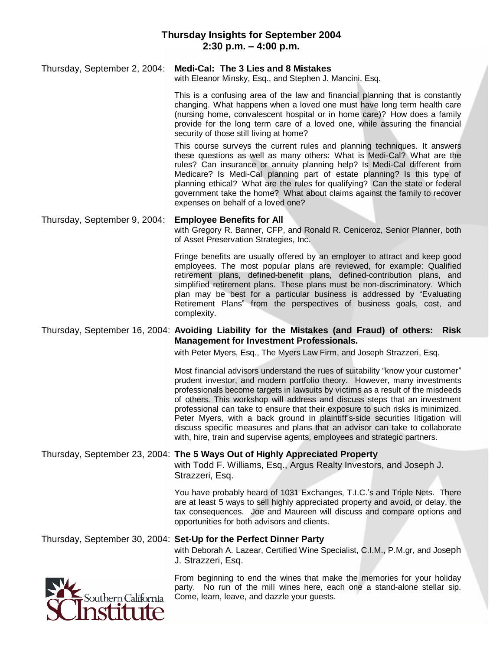#### Thursday, September 2, 2004: **Medi-Cal: The 3 Lies and 8 Mistakes**

with Eleanor Minsky, Esq., and Stephen J. Mancini, Esq.

This is a confusing area of the law and financial planning that is constantly changing. What happens when a loved one must have long term health care (nursing home, convalescent hospital or in home care)? How does a family provide for the long term care of a loved one, while assuring the financial security of those still living at home?

This course surveys the current rules and planning techniques. It answers these questions as well as many others: What is Medi-Cal? What are the rules? Can insurance or annuity planning help? Is Medi-Cal different from Medicare? Is Medi-Cal planning part of estate planning? Is this type of planning ethical? What are the rules for qualifying? Can the state or federal government take the home? What about claims against the family to recover expenses on behalf of a loved one?

# Thursday, September 9, 2004: **Employee Benefits for All**

with Gregory R. Banner, CFP, and Ronald R. Ceniceroz, Senior Planner, both of Asset Preservation Strategies, Inc.

Fringe benefits are usually offered by an employer to attract and keep good employees. The most popular plans are reviewed, for example: Qualified retirement plans, defined-benefit plans, defined-contribution plans, and simplified retirement plans. These plans must be non-discriminatory. Which plan may be best for a particular business is addressed by "Evaluating Retirement Plans" from the perspectives of business goals, cost, and complexity.

#### Thursday, September 16, 2004: **Avoiding Liability for the Mistakes (and Fraud) of others: Risk Management for Investment Professionals.**

with Peter Myers, Esq., The Myers Law Firm, and Joseph Strazzeri, Esq.

Most financial advisors understand the rues of suitability "know your customer" prudent investor, and modern portfolio theory. However, many investments professionals become targets in lawsuits by victims as a result of the misdeeds of others. This workshop will address and discuss steps that an investment professional can take to ensure that their exposure to such risks is minimized. Peter Myers, with a back ground in plaintiff's-side securities litigation will discuss specific measures and plans that an advisor can take to collaborate with, hire, train and supervise agents, employees and strategic partners.

#### Thursday, September 23, 2004: **The 5 Ways Out of Highly Appreciated Property**

with Todd F. Williams, Esq., Argus Realty Investors, and Joseph J. Strazzeri, Esq.

You have probably heard of 1031 Exchanges, T.I.C.'s and Triple Nets. There are at least 5 ways to sell highly appreciated property and avoid, or delay, the tax consequences. Joe and Maureen will discuss and compare options and opportunities for both advisors and clients.

### Thursday, September 30, 2004: **Set-Up for the Perfect Dinner Party**

with Deborah A. Lazear, Certified Wine Specialist, C.I.M., P.M.gr, and Joseph J. Strazzeri, Esq.



From beginning to end the wines that make the memories for your holiday party. No run of the mill wines here, each one a stand-alone stellar sip. Come, learn, leave, and dazzle your guests.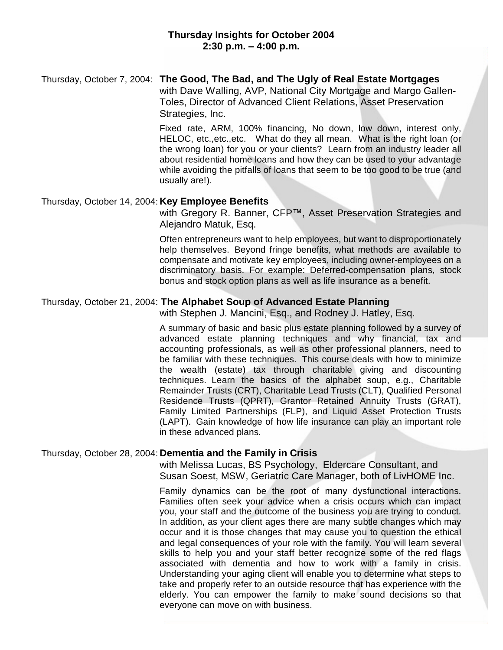## Thursday, October 7, 2004: **The Good, The Bad, and The Ugly of Real Estate Mortgages**

with Dave Walling, AVP, National City Mortgage and Margo Gallen-Toles, Director of Advanced Client Relations, Asset Preservation Strategies, Inc.

Fixed rate, ARM, 100% financing, No down, low down, interest only, HELOC, etc.,etc.,etc. What do they all mean. What is the right loan (or the wrong loan) for you or your clients? Learn from an industry leader all about residential home loans and how they can be used to your advantage while avoiding the pitfalls of loans that seem to be too good to be true (and usually are!).

#### Thursday, October 14, 2004: **Key Employee Benefits**

with Gregory R. Banner, CFP™, Asset Preservation Strategies and Alejandro Matuk, Esq.

Often entrepreneurs want to help employees, but want to disproportionately help themselves. Beyond fringe benefits, what methods are available to compensate and motivate key employees, including owner-employees on a discriminatory basis. For example: Deferred-compensation plans, stock bonus and stock option plans as well as life insurance as a benefit.

### Thursday, October 21, 2004: **The Alphabet Soup of Advanced Estate Planning**

with Stephen J. Mancini, Esq., and Rodney J. Hatley, Esq.

A summary of basic and basic plus estate planning followed by a survey of advanced estate planning techniques and why financial, tax and accounting professionals, as well as other professional planners, need to be familiar with these techniques. This course deals with how to minimize the wealth (estate) tax through charitable giving and discounting techniques. Learn the basics of the alphabet soup, e.g., Charitable Remainder Trusts (CRT), Charitable Lead Trusts (CLT), Qualified Personal Residence Trusts (QPRT), Grantor Retained Annuity Trusts (GRAT), Family Limited Partnerships (FLP), and Liquid Asset Protection Trusts (LAPT). Gain knowledge of how life insurance can play an important role in these advanced plans.

### Thursday, October 28, 2004: **Dementia and the Family in Crisis**

with Melissa Lucas, BS Psychology, Eldercare Consultant, and Susan Soest, MSW, Geriatric Care Manager, both of LivHOME Inc.

Family dynamics can be the root of many dysfunctional interactions. Families often seek your advice when a crisis occurs which can impact you, your staff and the outcome of the business you are trying to conduct. In addition, as your client ages there are many subtle changes which may occur and it is those changes that may cause you to question the ethical and legal consequences of your role with the family. You will learn several skills to help you and your staff better recognize some of the red flags associated with dementia and how to work with a family in crisis. Understanding your aging client will enable you to determine what steps to take and properly refer to an outside resource that has experience with the elderly. You can empower the family to make sound decisions so that everyone can move on with business.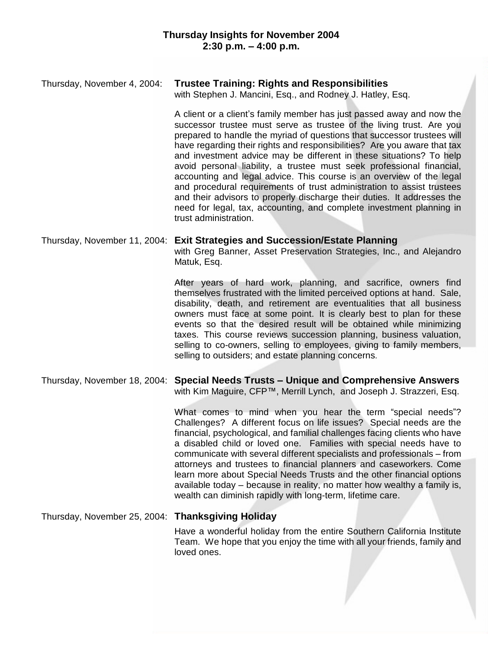# Thursday, November 4, 2004: **Trustee Training: Rights and Responsibilities**

with Stephen J. Mancini, Esq., and Rodney J. Hatley, Esq.

A client or a client's family member has just passed away and now the successor trustee must serve as trustee of the living trust. Are you prepared to handle the myriad of questions that successor trustees will have regarding their rights and responsibilities? Are you aware that tax and investment advice may be different in these situations? To help avoid personal liability, a trustee must seek professional financial, accounting and legal advice. This course is an overview of the legal and procedural requirements of trust administration to assist trustees and their advisors to properly discharge their duties. It addresses the need for legal, tax, accounting, and complete investment planning in trust administration.

# Thursday, November 11, 2004: **Exit Strategies and Succession/Estate Planning** with Greg Banner, Asset Preservation Strategies, Inc., and Alejandro Matuk, Esq.

After years of hard work, planning, and sacrifice, owners find themselves frustrated with the limited perceived options at hand. Sale, disability, death, and retirement are eventualities that all business owners must face at some point. It is clearly best to plan for these events so that the desired result will be obtained while minimizing taxes. This course reviews succession planning, business valuation, selling to co-owners, selling to employees, giving to family members, selling to outsiders; and estate planning concerns.

#### Thursday, November 18, 2004: **Special Needs Trusts – Unique and Comprehensive Answers** with Kim Maguire, CFP™, Merrill Lynch, and Joseph J. Strazzeri, Esg.

What comes to mind when you hear the term "special needs"? Challenges? A different focus on life issues? Special needs are the financial, psychological, and familial challenges facing clients who have a disabled child or loved one. Families with special needs have to communicate with several different specialists and professionals – from attorneys and trustees to financial planners and caseworkers. Come learn more about Special Needs Trusts and the other financial options available today – because in reality, no matter how wealthy a family is, wealth can diminish rapidly with long-term, lifetime care.

#### Thursday, November 25, 2004: **Thanksgiving Holiday**

Have a wonderful holiday from the entire Southern California Institute Team. We hope that you enjoy the time with all your friends, family and loved ones.